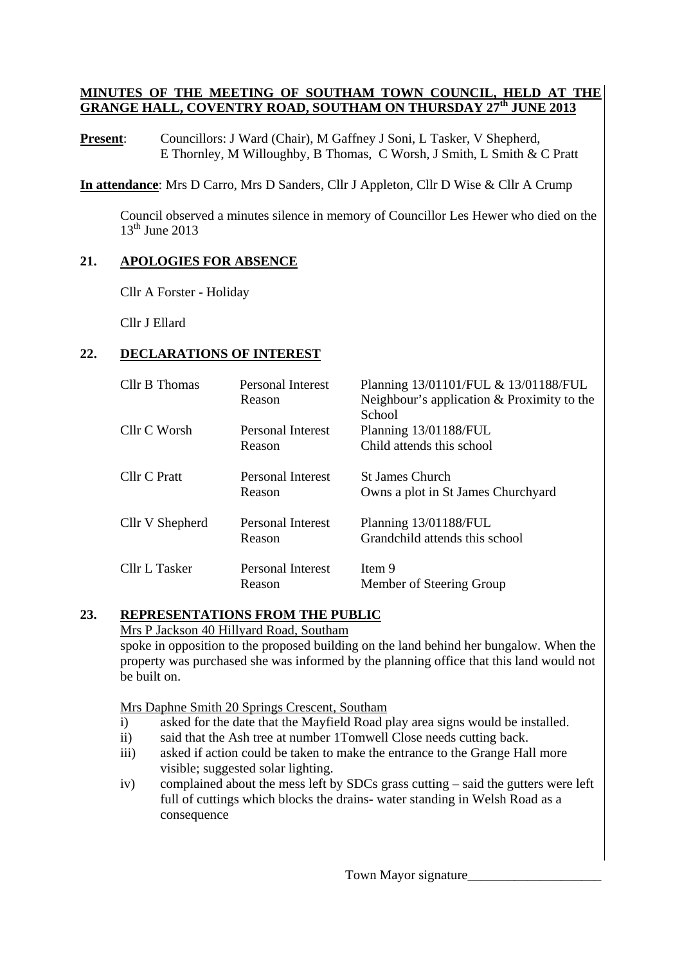#### **MINUTES OF THE MEETING OF SOUTHAM TOWN COUNCIL, HELD AT THE GRANGE HALL, COVENTRY ROAD, SOUTHAM ON THURSDAY 27th JUNE 2013**

**Present:** Councillors: J Ward (Chair), M Gaffney J Soni, L Tasker, V Shepherd, E Thornley, M Willoughby, B Thomas, C Worsh, J Smith, L Smith & C Pratt

**In attendance**: Mrs D Carro, Mrs D Sanders, Cllr J Appleton, Cllr D Wise & Cllr A Crump

 Council observed a minutes silence in memory of Councillor Les Hewer who died on the  $13<sup>th</sup>$  June 2013

#### **21. APOLOGIES FOR ABSENCE**

Cllr A Forster - Holiday

Cllr J Ellard

### **22. DECLARATIONS OF INTEREST**

| Cllr B Thomas   | Personal Interest<br>Reason        | Planning 13/01101/FUL & 13/01188/FUL<br>Neighbour's application $&$ Proximity to the<br>School |
|-----------------|------------------------------------|------------------------------------------------------------------------------------------------|
| Cllr C Worsh    | Personal Interest<br>Reason        | Planning 13/01188/FUL<br>Child attends this school                                             |
| Cllr C Pratt    | <b>Personal Interest</b><br>Reason | <b>St James Church</b><br>Owns a plot in St James Churchyard                                   |
| Cllr V Shepherd | Personal Interest<br>Reason        | Planning 13/01188/FUL<br>Grandchild attends this school                                        |
| Cllr L Tasker   | <b>Personal Interest</b><br>Reason | Item 9<br>Member of Steering Group                                                             |

#### **23. REPRESENTATIONS FROM THE PUBLIC**

Mrs P Jackson 40 Hillyard Road, Southam

 spoke in opposition to the proposed building on the land behind her bungalow. When the property was purchased she was informed by the planning office that this land would not be built on.

Mrs Daphne Smith 20 Springs Crescent, Southam

- i) asked for the date that the Mayfield Road play area signs would be installed.
- ii) said that the Ash tree at number 1Tomwell Close needs cutting back.
- iii) asked if action could be taken to make the entrance to the Grange Hall more visible; suggested solar lighting.
- iv) complained about the mess left by SDCs grass cutting said the gutters were left full of cuttings which blocks the drains- water standing in Welsh Road as a consequence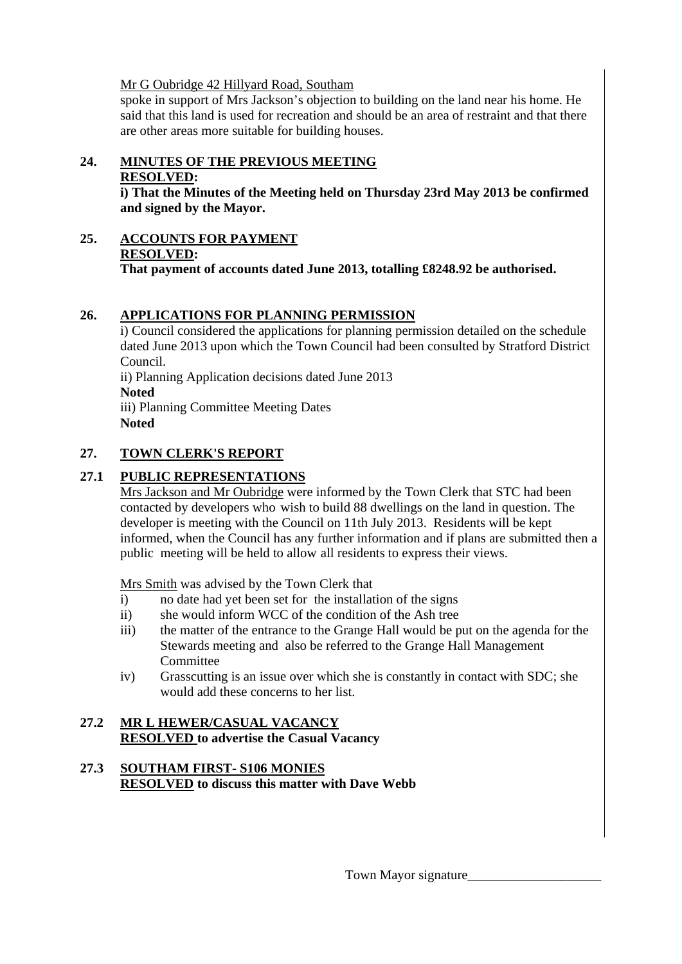Mr G Oubridge 42 Hillyard Road, Southam

spoke in support of Mrs Jackson's objection to building on the land near his home. He said that this land is used for recreation and should be an area of restraint and that there are other areas more suitable for building houses.

# **24. MINUTES OF THE PREVIOUS MEETING**

#### **RESOLVED:**

**i) That the Minutes of the Meeting held on Thursday 23rd May 2013 be confirmed and signed by the Mayor.** 

**25. ACCOUNTS FOR PAYMENT RESOLVED: That payment of accounts dated June 2013, totalling £8248.92 be authorised.** 

## **26. APPLICATIONS FOR PLANNING PERMISSION**

i) Council considered the applications for planning permission detailed on the schedule dated June 2013 upon which the Town Council had been consulted by Stratford District Council. ii) Planning Application decisions dated June 2013 **Noted**  iii) Planning Committee Meeting Dates

**Noted** 

## **27. TOWN CLERK'S REPORT**

## **27.1 PUBLIC REPRESENTATIONS**

Mrs Jackson and Mr Oubridge were informed by the Town Clerk that STC had been contacted by developers who wish to build 88 dwellings on the land in question. The developer is meeting with the Council on 11th July 2013. Residents will be kept informed, when the Council has any further information and if plans are submitted then a public meeting will be held to allow all residents to express their views.

Mrs Smith was advised by the Town Clerk that

- i) no date had yet been set for the installation of the signs
- ii) she would inform WCC of the condition of the Ash tree
- iii) the matter of the entrance to the Grange Hall would be put on the agenda for the Stewards meeting and also be referred to the Grange Hall Management Committee
- iv) Grasscutting is an issue over which she is constantly in contact with SDC; she would add these concerns to her list.

## **27.2 MR L HEWER/CASUAL VACANCY RESOLVED to advertise the Casual Vacancy**

### **27.3 SOUTHAM FIRST- S106 MONIES RESOLVED to discuss this matter with Dave Webb**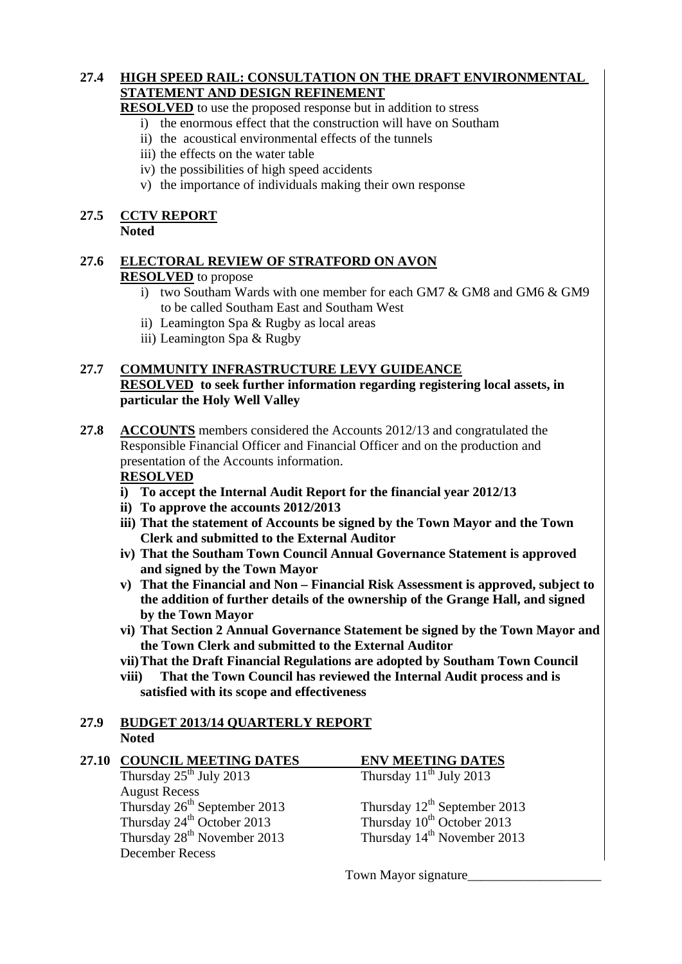### **27.4 HIGH SPEED RAIL: CONSULTATION ON THE DRAFT ENVIRONMENTAL STATEMENT AND DESIGN REFINEMENT**

 **RESOLVED** to use the proposed response but in addition to stress

- i) the enormous effect that the construction will have on Southam
- ii) the acoustical environmental effects of the tunnels
- iii) the effects on the water table
- iv) the possibilities of high speed accidents
- v) the importance of individuals making their own response

## **27.5 CCTV REPORT**

 **Noted** 

#### **27.6 ELECTORAL REVIEW OF STRATFORD ON AVON RESOLVED** to propose

- i) two Southam Wards with one member for each GM7 & GM8 and GM6 & GM9 to be called Southam East and Southam West
- ii) Leamington Spa & Rugby as local areas
- iii) Leamington Spa & Rugby

## **27.7 COMMUNITY INFRASTRUCTURE LEVY GUIDEANCE**

 **RESOLVED to seek further information regarding registering local assets, in particular the Holy Well Valley** 

**27.8 ACCOUNTS** members considered the Accounts 2012/13 and congratulated the Responsible Financial Officer and Financial Officer and on the production and presentation of the Accounts information.

#### **RESOLVED**

- **i) To accept the Internal Audit Report for the financial year 2012/13**
- **ii) To approve the accounts 2012/2013**
- **iii) That the statement of Accounts be signed by the Town Mayor and the Town Clerk and submitted to the External Auditor**
- **iv) That the Southam Town Council Annual Governance Statement is approved and signed by the Town Mayor**
- **v) That the Financial and Non Financial Risk Assessment is approved, subject to the addition of further details of the ownership of the Grange Hall, and signed by the Town Mayor**
- **vi) That Section 2 Annual Governance Statement be signed by the Town Mayor and the Town Clerk and submitted to the External Auditor**
- **vii)That the Draft Financial Regulations are adopted by Southam Town Council**
- **viii) That the Town Council has reviewed the Internal Audit process and is satisfied with its scope and effectiveness**

#### **27.9 BUDGET 2013/14 QUARTERLY REPORT Noted**

| 27.10 | <b>COUNCIL MEETING DATES</b>             | <b>ENV MEETING DATES</b>                |
|-------|------------------------------------------|-----------------------------------------|
|       | Thursday $25^{th}$ July 2013             | Thursday $11^{th}$ July 2013            |
|       | <b>August Recess</b>                     |                                         |
|       | Thursday 26 <sup>th</sup> September 2013 | Thursday $12^{th}$ September 2013       |
|       | Thursday 24 <sup>th</sup> October 2013   | Thursday 10 <sup>th</sup> October 2013  |
|       | Thursday 28 <sup>th</sup> November 2013  | Thursday 14 <sup>th</sup> November 2013 |
|       | <b>December Recess</b>                   |                                         |
|       |                                          |                                         |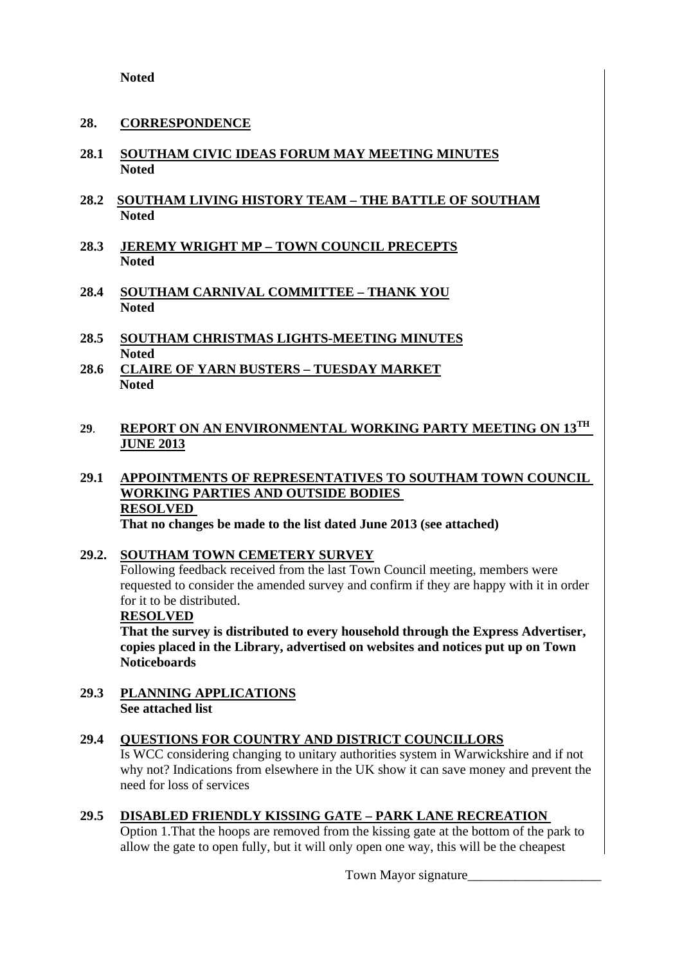**Noted** 

#### **28. CORRESPONDENCE**

- **28.1 SOUTHAM CIVIC IDEAS FORUM MAY MEETING MINUTES Noted**
- **28.2 SOUTHAM LIVING HISTORY TEAM THE BATTLE OF SOUTHAM Noted**
- **28.3 JEREMY WRIGHT MP TOWN COUNCIL PRECEPTS Noted**
- **28.4 SOUTHAM CARNIVAL COMMITTEE THANK YOU Noted**
- **28.5 SOUTHAM CHRISTMAS LIGHTS-MEETING MINUTES Noted**
- **28.6 CLAIRE OF YARN BUSTERS TUESDAY MARKET Noted**

#### **29**. **REPORT ON AN ENVIRONMENTAL WORKING PARTY MEETING ON 13TH JUNE 2013**

**29.1 APPOINTMENTS OF REPRESENTATIVES TO SOUTHAM TOWN COUNCIL WORKING PARTIES AND OUTSIDE BODIES RESOLVED That no changes be made to the list dated June 2013 (see attached)** 

#### **29.2. SOUTHAM TOWN CEMETERY SURVEY**

Following feedback received from the last Town Council meeting, members were requested to consider the amended survey and confirm if they are happy with it in order for it to be distributed.

 **RESOLVED**

 **That the survey is distributed to every household through the Express Advertiser, copies placed in the Library, advertised on websites and notices put up on Town Noticeboards** 

**29.3 PLANNING APPLICATIONS See attached list** 

#### **29.4 QUESTIONS FOR COUNTRY AND DISTRICT COUNCILLORS**

Is WCC considering changing to unitary authorities system in Warwickshire and if not why not? Indications from elsewhere in the UK show it can save money and prevent the need for loss of services

#### **29.5 DISABLED FRIENDLY KISSING GATE – PARK LANE RECREATION**

Option 1.That the hoops are removed from the kissing gate at the bottom of the park to allow the gate to open fully, but it will only open one way, this will be the cheapest

Town Mayor signature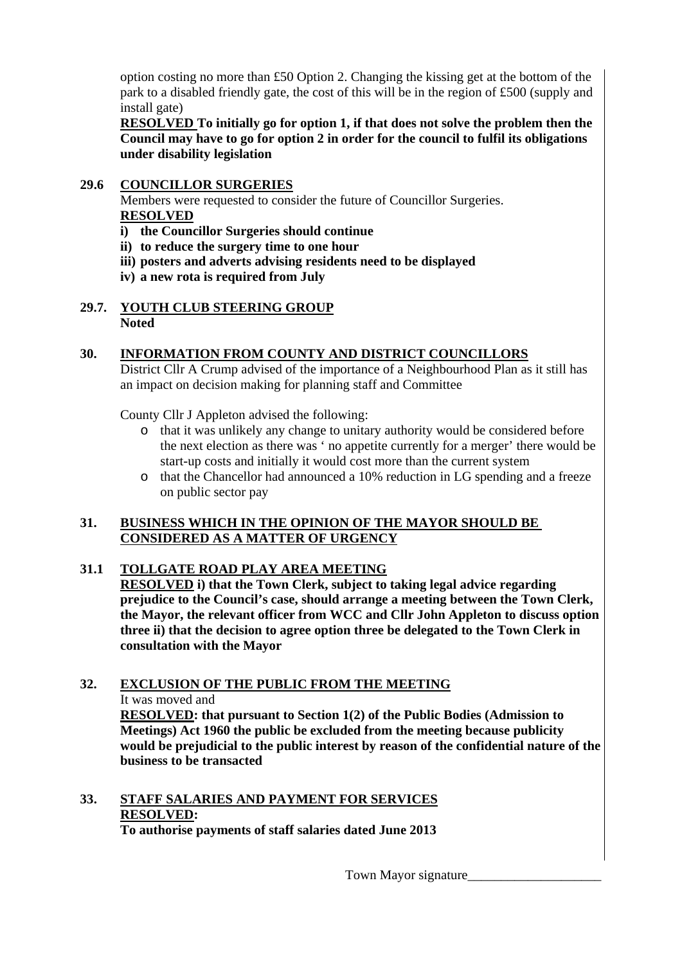option costing no more than £50 Option 2. Changing the kissing get at the bottom of the park to a disabled friendly gate, the cost of this will be in the region of £500 (supply and install gate)

 **RESOLVED To initially go for option 1, if that does not solve the problem then the Council may have to go for option 2 in order for the council to fulfil its obligations under disability legislation** 

#### **29.6 COUNCILLOR SURGERIES**

Members were requested to consider the future of Councillor Surgeries.  **RESOLVED**

- **i) the Councillor Surgeries should continue**
- **ii) to reduce the surgery time to one hour**
- **iii) posters and adverts advising residents need to be displayed**
- **iv) a new rota is required from July**

#### **29.7. YOUTH CLUB STEERING GROUP Noted**

#### **30. INFORMATION FROM COUNTY AND DISTRICT COUNCILLORS**

 District Cllr A Crump advised of the importance of a Neighbourhood Plan as it still has an impact on decision making for planning staff and Committee

County Cllr J Appleton advised the following:

- o that it was unlikely any change to unitary authority would be considered before the next election as there was ' no appetite currently for a merger' there would be start-up costs and initially it would cost more than the current system
- o that the Chancellor had announced a 10% reduction in LG spending and a freeze on public sector pay

#### **31. BUSINESS WHICH IN THE OPINION OF THE MAYOR SHOULD BE CONSIDERED AS A MATTER OF URGENCY**

#### **31.1 TOLLGATE ROAD PLAY AREA MEETING**

 **RESOLVED i) that the Town Clerk, subject to taking legal advice regarding prejudice to the Council's case, should arrange a meeting between the Town Clerk, the Mayor, the relevant officer from WCC and Cllr John Appleton to discuss option three ii) that the decision to agree option three be delegated to the Town Clerk in consultation with the Mayor** 

#### **32. EXCLUSION OF THE PUBLIC FROM THE MEETING** It was moved and

**RESOLVED: that pursuant to Section 1(2) of the Public Bodies (Admission to Meetings) Act 1960 the public be excluded from the meeting because publicity would be prejudicial to the public interest by reason of the confidential nature of the business to be transacted** 

#### **33. STAFF SALARIES AND PAYMENT FOR SERVICES RESOLVED: To authorise payments of staff salaries dated June 2013**